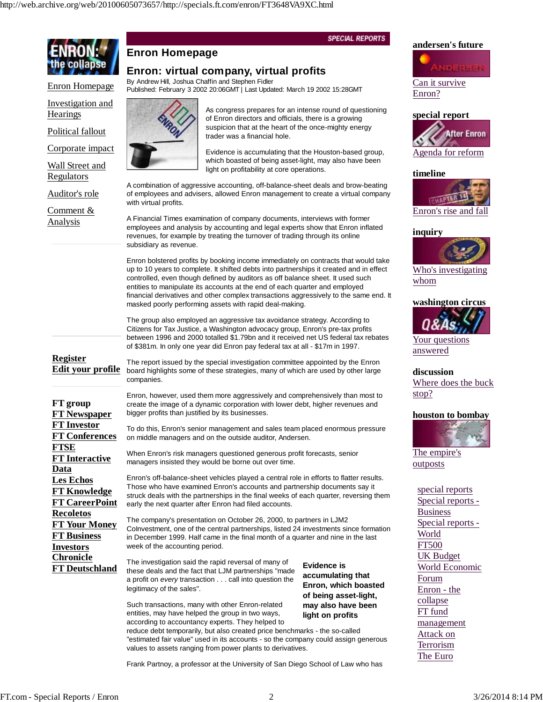## **SPECIAL REPORTS andersen's future Enron Homepage Enron: virtual company, virtual profits** By Andrew Hill, Joshua Chaffin and Stephen Fidler Can it survive Enron Homepage Published: February 3 2002 20:06GMT | Last Updated: March 19 2002 15:28GMT Enron? Investigation and As congress prepares for an intense round of questioning **Hearings special report** of Enron directors and officials, there is a growing suspicion that at the heart of the once-mighty energy Political fallout **After Enron** trader was a financial hole. Corporate impact Evidence is accumulating that the Houston-based group, Agenda for reform which boasted of being asset-light, may also have been Wall Street and light on profitability at core operations. **timeline** Regulators A combination of aggressive accounting, off-balance-sheet deals and brow-beating Auditor's role of employees and advisers, allowed Enron management to create a virtual company **TOWAPT** with virtual profits. Comment & Enron's rise and fall A Financial Times examination of company documents, interviews with former Analysis employees and analysis by accounting and legal experts show that Enron inflated **inquiry** revenues, for example by treating the turnover of trading through its online subsidiary as revenue. Enron bolstered profits by booking income immediately on contracts that would take up to 10 years to complete. It shifted debts into partnerships it created and in effect Who's investigating controlled, even though defined by auditors as off balance sheet. It used such whom entities to manipulate its accounts at the end of each quarter and employed financial derivatives and other complex transactions aggressively to the same end. It **washington circus** masked poorly performing assets with rapid deal-making. The group also employed an aggressive tax avoidance strategy. According to Citizens for Tax Justice, a Washington advocacy group, Enron's pre-tax profits between 1996 and 2000 totalled \$1.79bn and it received net US federal tax rebates Your questions of \$381m. In only one year did Enron pay federal tax at all - \$17m in 1997. answered **Register** The report issued by the special investigation committee appointed by the Enron **Edit your profile** board highlights some of these strategies, many of which are used by other large **discussion** companies. Where does the buck stop? Enron, however, used them more aggressively and comprehensively than most to **FT group** create the image of a dynamic corporation with lower debt, higher revenues and **FT Newspaper** bigger profits than justified by its businesses. **houston to bombay FT Investor** To do this, Enron's senior management and sales team placed enormous pressure **FT Conferences** on middle managers and on the outside auditor, Andersen. **FTSE** The empire's When Enron's risk managers questioned generous profit forecasts, senior **FT Interactive** managers insisted they would be borne out over time. outposts **Data** Enron's off-balance-sheet vehicles played a central role in efforts to flatter results. **Les Echos** Those who have examined Enron's accounts and partnership documents say it special reports **FT Knowledge** struck deals with the partnerships in the final weeks of each quarter, reversing them Special reports - **FT CareerPoint** early the next quarter after Enron had filed accounts. Business **Recoletos** The company's presentation on October 26, 2000, to partners in LJM2 Special reports - **FT Your Money** CoInvestment, one of the central partnerships, listed 24 investments since formation World **FT Business** in December 1999. Half came in the final month of a quarter and nine in the last FT500 **Investors** week of the accounting period. UK Budget **Chronicle** The investigation said the rapid reversal of many of **Evidence is FT Deutschland** World Economic these deals and the fact that LJM partnerships "made **accumulating that** Forum a profit on *every* transaction . . . call into question the **Enron, which boasted** legitimacy of the sales". Enron - the **of being asset-light,** collapse Such transactions, many with other Enron-related **may also have been** FT fund entities, may have helped the group in two ways, **light on profits**

according to accountancy experts. They helped to reduce debt temporarily, but also created price benchmarks - the so-called "estimated fair value" used in its accounts - so the company could assign generous values to assets ranging from power plants to derivatives.

Frank Partnoy, a professor at the University of San Diego School of Law who has

management Attack on Terrorism The Euro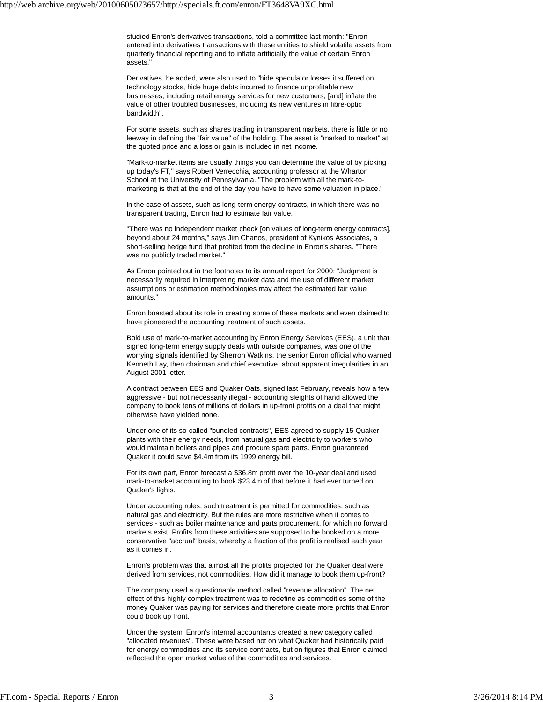studied Enron's derivatives transactions, told a committee last month: "Enron entered into derivatives transactions with these entities to shield volatile assets from quarterly financial reporting and to inflate artificially the value of certain Enron assets."

Derivatives, he added, were also used to "hide speculator losses it suffered on technology stocks, hide huge debts incurred to finance unprofitable new businesses, including retail energy services for new customers, [and] inflate the value of other troubled businesses, including its new ventures in fibre-optic bandwidth".

For some assets, such as shares trading in transparent markets, there is little or no leeway in defining the "fair value" of the holding. The asset is "marked to market" at the quoted price and a loss or gain is included in net income.

"Mark-to-market items are usually things you can determine the value of by picking up today's FT," says Robert Verrecchia, accounting professor at the Wharton School at the University of Pennsylvania. "The problem with all the mark-tomarketing is that at the end of the day you have to have some valuation in place."

In the case of assets, such as long-term energy contracts, in which there was no transparent trading, Enron had to estimate fair value.

"There was no independent market check [on values of long-term energy contracts], beyond about 24 months," says Jim Chanos, president of Kynikos Associates, a short-selling hedge fund that profited from the decline in Enron's shares. "There was no publicly traded market."

As Enron pointed out in the footnotes to its annual report for 2000: "Judgment is necessarily required in interpreting market data and the use of different market assumptions or estimation methodologies may affect the estimated fair value amounts."

Enron boasted about its role in creating some of these markets and even claimed to have pioneered the accounting treatment of such assets.

Bold use of mark-to-market accounting by Enron Energy Services (EES), a unit that signed long-term energy supply deals with outside companies, was one of the worrying signals identified by Sherron Watkins, the senior Enron official who warned Kenneth Lay, then chairman and chief executive, about apparent irregularities in an August 2001 letter.

A contract between EES and Quaker Oats, signed last February, reveals how a few aggressive - but not necessarily illegal - accounting sleights of hand allowed the company to book tens of millions of dollars in up-front profits on a deal that might otherwise have yielded none.

Under one of its so-called "bundled contracts", EES agreed to supply 15 Quaker plants with their energy needs, from natural gas and electricity to workers who would maintain boilers and pipes and procure spare parts. Enron guaranteed Quaker it could save \$4.4m from its 1999 energy bill.

For its own part, Enron forecast a \$36.8m profit over the 10-year deal and used mark-to-market accounting to book \$23.4m of that before it had ever turned on Quaker's lights.

Under accounting rules, such treatment is permitted for commodities, such as natural gas and electricity. But the rules are more restrictive when it comes to services - such as boiler maintenance and parts procurement, for which no forward markets exist. Profits from these activities are supposed to be booked on a more conservative "accrual" basis, whereby a fraction of the profit is realised each year as it comes in.

Enron's problem was that almost all the profits projected for the Quaker deal were derived from services, not commodities. How did it manage to book them up-front?

The company used a questionable method called "revenue allocation". The net effect of this highly complex treatment was to redefine as commodities some of the money Quaker was paying for services and therefore create more profits that Enron could book up front.

Under the system, Enron's internal accountants created a new category called "allocated revenues". These were based not on what Quaker had historically paid for energy commodities and its service contracts, but on figures that Enron claimed reflected the open market value of the commodities and services.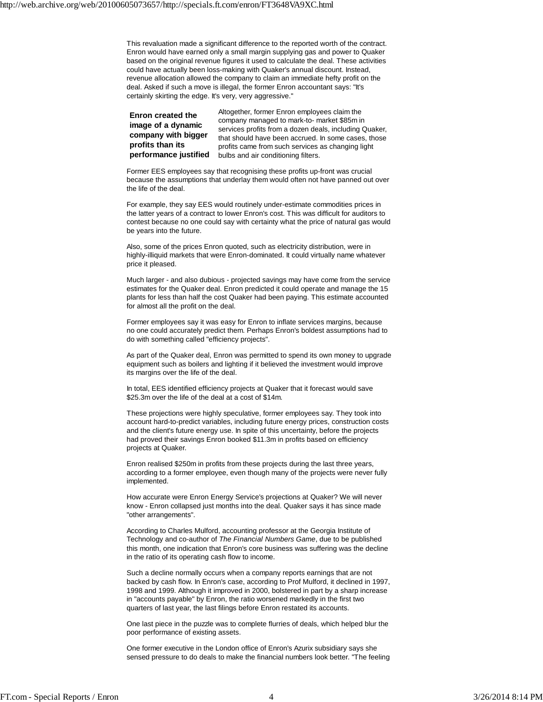This revaluation made a significant difference to the reported worth of the contract. Enron would have earned only a small margin supplying gas and power to Quaker based on the original revenue figures it used to calculate the deal. These activities could have actually been loss-making with Quaker's annual discount. Instead, revenue allocation allowed the company to claim an immediate hefty profit on the deal. Asked if such a move is illegal, the former Enron accountant says: "It's certainly skirting the edge. It's very, very aggressive."

**Enron created the image of a dynamic company with bigger profits than its performance justified**

Altogether, former Enron employees claim the company managed to mark-to- market \$85m in services profits from a dozen deals, including Quaker, that should have been accrued. In some cases, those profits came from such services as changing light bulbs and air conditioning filters.

Former EES employees say that recognising these profits up-front was crucial because the assumptions that underlay them would often not have panned out over the life of the deal.

For example, they say EES would routinely under-estimate commodities prices in the latter years of a contract to lower Enron's cost. This was difficult for auditors to contest because no one could say with certainty what the price of natural gas would be years into the future.

Also, some of the prices Enron quoted, such as electricity distribution, were in highly-illiquid markets that were Enron-dominated. It could virtually name whatever price it pleased.

Much larger - and also dubious - projected savings may have come from the service estimates for the Quaker deal. Enron predicted it could operate and manage the 15 plants for less than half the cost Quaker had been paying. This estimate accounted for almost all the profit on the deal.

Former employees say it was easy for Enron to inflate services margins, because no one could accurately predict them. Perhaps Enron's boldest assumptions had to do with something called "efficiency projects".

As part of the Quaker deal, Enron was permitted to spend its own money to upgrade equipment such as boilers and lighting if it believed the investment would improve its margins over the life of the deal.

In total, EES identified efficiency projects at Quaker that it forecast would save \$25.3m over the life of the deal at a cost of \$14m.

These projections were highly speculative, former employees say. They took into account hard-to-predict variables, including future energy prices, construction costs and the client's future energy use. In spite of this uncertainty, before the projects had proved their savings Enron booked \$11.3m in profits based on efficiency projects at Quaker.

Enron realised \$250m in profits from these projects during the last three years, according to a former employee, even though many of the projects were never fully implemented.

How accurate were Enron Energy Service's projections at Quaker? We will never know - Enron collapsed just months into the deal. Quaker says it has since made "other arrangements".

According to Charles Mulford, accounting professor at the Georgia Institute of Technology and co-author of *The Financial Numbers Game*, due to be published this month, one indication that Enron's core business was suffering was the decline in the ratio of its operating cash flow to income.

Such a decline normally occurs when a company reports earnings that are not backed by cash flow. In Enron's case, according to Prof Mulford, it declined in 1997, 1998 and 1999. Although it improved in 2000, bolstered in part by a sharp increase in "accounts payable" by Enron, the ratio worsened markedly in the first two quarters of last year, the last filings before Enron restated its accounts.

One last piece in the puzzle was to complete flurries of deals, which helped blur the poor performance of existing assets.

One former executive in the London office of Enron's Azurix subsidiary says she sensed pressure to do deals to make the financial numbers look better. "The feeling